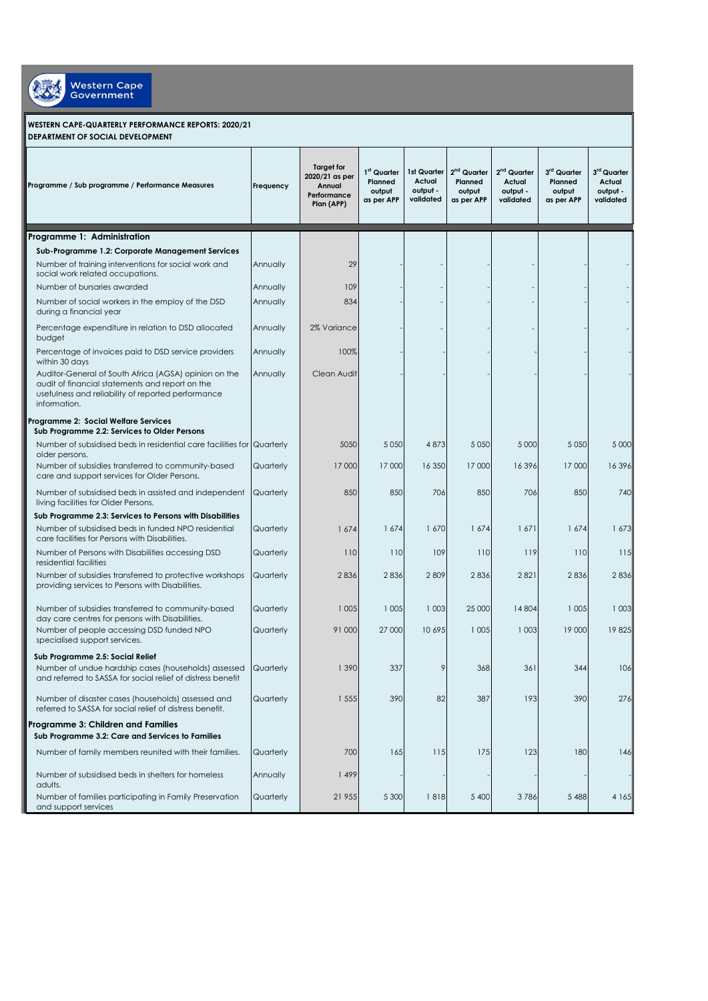

**WESTERN CAPE-QUARTERLY PERFORMANCE REPORTS: 2020/21 DEPARTMENT OF SOCIAL DEVELOPMENT** 

| Programme / Sub programme / Performance Measures                                                                                                                               | Frequency | <b>Target for</b><br>2020/21 as per<br>Annual<br>Performance<br>Plan (APP) | 1 <sup>st</sup> Quarter<br>Planned<br>output<br>as per APP | 1st Quarter<br>Actual<br>output -<br>validated | 2 <sup>nd</sup> Quarter<br>Planned<br>output<br>as per APP | 2 <sup>nd</sup> Quarter<br>Actual<br>output -<br>validated | 3rd Quarter<br>Planned<br>output<br>as per APP | 3 <sup>rd</sup> Quarter<br>Actual<br>output -<br>validated |
|--------------------------------------------------------------------------------------------------------------------------------------------------------------------------------|-----------|----------------------------------------------------------------------------|------------------------------------------------------------|------------------------------------------------|------------------------------------------------------------|------------------------------------------------------------|------------------------------------------------|------------------------------------------------------------|
| Programme 1: Administration                                                                                                                                                    |           |                                                                            |                                                            |                                                |                                                            |                                                            |                                                |                                                            |
| Sub-Programme 1.2: Corporate Management Services                                                                                                                               |           |                                                                            |                                                            |                                                |                                                            |                                                            |                                                |                                                            |
| Number of training interventions for social work and<br>social work related occupations.                                                                                       | Annually  | 29                                                                         |                                                            |                                                |                                                            |                                                            |                                                |                                                            |
| Number of bursaries awarded                                                                                                                                                    | Annually  | 109                                                                        |                                                            |                                                |                                                            |                                                            |                                                |                                                            |
| Number of social workers in the employ of the DSD<br>during a financial year                                                                                                   | Annually  | 834                                                                        |                                                            |                                                |                                                            |                                                            |                                                |                                                            |
| Percentage expenditure in relation to DSD allocated<br>budget                                                                                                                  | Annually  | 2% Variance                                                                |                                                            |                                                |                                                            |                                                            |                                                |                                                            |
| Percentage of invoices paid to DSD service providers<br>within 30 days                                                                                                         | Annually  | 100%                                                                       |                                                            |                                                |                                                            |                                                            |                                                |                                                            |
| Auditor-General of South Africa (AGSA) opinion on the<br>audit of financial statements and report on the<br>usefulness and reliability of reported performance<br>information. | Annually  | Clean Audit                                                                |                                                            |                                                |                                                            |                                                            |                                                |                                                            |
| Programme 2: Social Welfare Services<br>Sub Programme 2.2: Services to Older Persons                                                                                           |           |                                                                            |                                                            |                                                |                                                            |                                                            |                                                |                                                            |
| Number of subsidised beds in residential care facilities for Quarterly<br>older persons.                                                                                       |           | 5050                                                                       | 5 0 5 0                                                    | 4873                                           | 5 0 5 0                                                    | 5 0 0 0                                                    | 5 0 5 0                                        | 5 0 0 0                                                    |
| Number of subsidies transferred to community-based<br>care and support services for Older Persons.                                                                             | Quarterly | 17 000                                                                     | 17 000                                                     | 16 350                                         | 17 000                                                     | 16396                                                      | 17 000                                         | 16396                                                      |
| Number of subsidised beds in assisted and independent<br>living facilities for Older Persons.                                                                                  | Quarterly | 850                                                                        | 850                                                        | 706                                            | 850                                                        | 706                                                        | 850                                            | 740                                                        |
| Sub Programme 2.3: Services to Persons with Disabilities                                                                                                                       |           |                                                                            |                                                            |                                                |                                                            |                                                            |                                                |                                                            |
| Number of subsidised beds in funded NPO residential<br>care facilities for Persons with Disabilities.                                                                          | Quarterly | 1674                                                                       | 1674                                                       | 1 670                                          | 1674                                                       | 1671                                                       | 1674                                           | 1673                                                       |
| Number of Persons with Disabilities accessing DSD<br>residential facilities                                                                                                    | Quarterly | 110                                                                        | 110                                                        | 109                                            | 110                                                        | 119                                                        | 110                                            | 115                                                        |
| Number of subsidies transferred to protective workshops<br>providing services to Persons with Disabilities.                                                                    | Quarterly | 2836                                                                       | 2836                                                       | 2809                                           | 2836                                                       | 2821                                                       | 2836                                           | 2836                                                       |
| Number of subsidies transferred to community-based<br>day care centres for persons with Disabilities.                                                                          | Quarterly | 1 0 0 5                                                                    | 1 0 0 5                                                    | 1 0 0 3                                        | 25 000                                                     | 14 804                                                     | 1 0 0 5                                        | 1 0 0 3                                                    |
| Number of people accessing DSD funded NPO<br>specialised support services.                                                                                                     | Quarterly | 91 000                                                                     | 27 000                                                     | 10 695                                         | 1 0 0 5                                                    | 1 0 0 3                                                    | 19 000                                         | 19825                                                      |
| Sub Programme 2.5: Social Relief                                                                                                                                               |           |                                                                            |                                                            |                                                |                                                            |                                                            |                                                |                                                            |
| Number of undue hardship cases (households) assessed<br>and referred to SASSA for social relief of distress benefit                                                            | Quarterly | 1 390                                                                      | 337                                                        | 9                                              | 368                                                        | 361                                                        | 344                                            | 106                                                        |
| Number of disaster cases (households) assessed and<br>referred to SASSA for social relief of distress benefit.                                                                 | Quarterly | 1 555                                                                      | 390                                                        | 82                                             | 387                                                        | 193                                                        | 390                                            | 276                                                        |
| Programme 3: Children and Families<br>Sub Programme 3.2: Care and Services to Families                                                                                         |           |                                                                            |                                                            |                                                |                                                            |                                                            |                                                |                                                            |
| Number of family members reunited with their families.                                                                                                                         | Quarterly | 700                                                                        | 165                                                        | 115                                            | 175                                                        | 123                                                        | 180                                            | 146                                                        |
| Number of subsidised beds in shelters for homeless<br>adults.                                                                                                                  | Annually  | 1499                                                                       |                                                            |                                                |                                                            |                                                            |                                                |                                                            |
| Number of families participating in Family Preservation<br>and support services                                                                                                | Quarterly | 21 955                                                                     | 5 3 0 0                                                    | 1818                                           | 5 400                                                      | 3786                                                       | 5 4 8 8                                        | 4 1 6 5                                                    |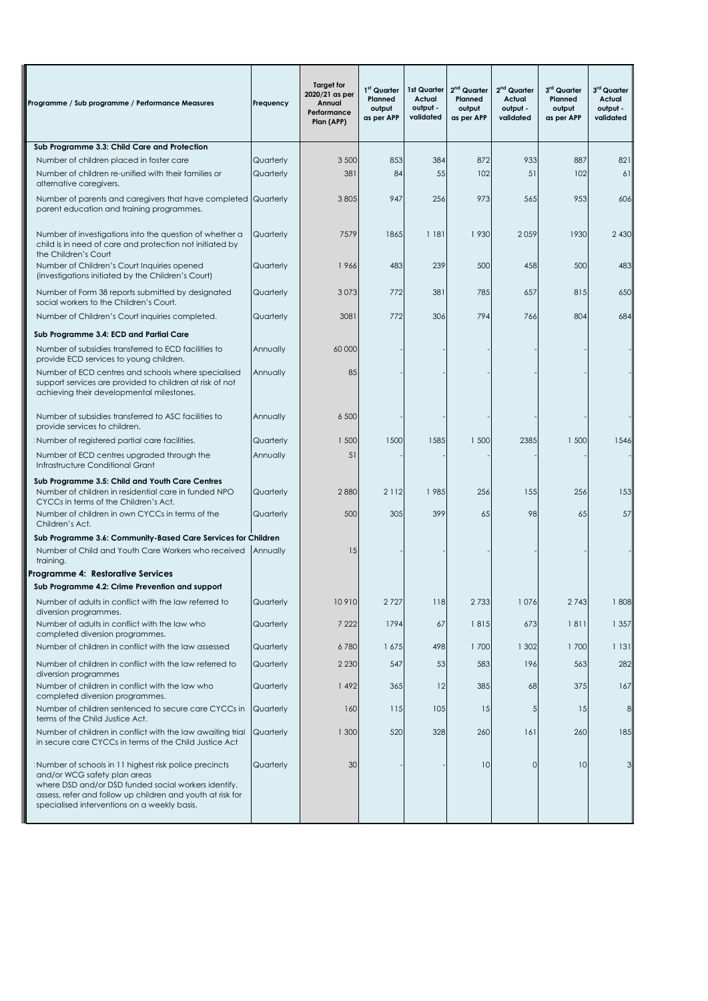| Programme / Sub programme / Performance Measures                                                                                                                                                                                                            | Frequency              | <b>Target for</b><br>2020/21 as per<br>Annual<br>Performance<br>Plan (APP) | 1 <sup>st</sup> Quarter<br>Planned<br>output<br>as per APP | 1st Quarter<br>Actual<br>output -<br>validated | 2 <sup>nd</sup> Quarter<br>Planned<br>output<br>as per APP | 2 <sup>nd</sup> Quarter<br>Actual<br>output -<br>validated | 3 <sup>rd</sup> Quarter<br>Planned<br>output<br>as per APP | 3rd Quarter<br>Actual<br>output -<br>validated |
|-------------------------------------------------------------------------------------------------------------------------------------------------------------------------------------------------------------------------------------------------------------|------------------------|----------------------------------------------------------------------------|------------------------------------------------------------|------------------------------------------------|------------------------------------------------------------|------------------------------------------------------------|------------------------------------------------------------|------------------------------------------------|
| Sub Programme 3.3: Child Care and Protection                                                                                                                                                                                                                |                        |                                                                            |                                                            |                                                |                                                            |                                                            |                                                            |                                                |
| Number of children placed in foster care                                                                                                                                                                                                                    | Quarterly              | 3 500                                                                      | 853                                                        | 384                                            | 872                                                        | 933                                                        | 887                                                        | 821                                            |
| Number of children re-unified with their families or<br>alternative caregivers.                                                                                                                                                                             | Quarterly              | 381                                                                        | 84                                                         | 55                                             | 102                                                        | 51                                                         | 102                                                        | 61                                             |
| Number of parents and caregivers that have completed<br>parent education and training programmes.                                                                                                                                                           | Quarterly              | 3 8 0 5                                                                    | 947                                                        | 256                                            | 973                                                        | 565                                                        | 953                                                        | 606                                            |
| Number of investigations into the question of whether a<br>child is in need of care and protection not initiated by<br>the Children's Court                                                                                                                 | Quarterly              | 7579                                                                       | 1865                                                       | 1 181                                          | 1930                                                       | 2059                                                       | 1930                                                       | 2 4 3 0                                        |
| Number of Children's Court Inquiries opened<br>(investigations initiated by the Children's Court)                                                                                                                                                           | Quarterly              | 1966                                                                       | 483                                                        | 239                                            | 500                                                        | 458                                                        | 500                                                        | 483                                            |
| Number of Form 38 reports submitted by designated<br>social workers to the Children's Court.                                                                                                                                                                | Quarterly              | 3073                                                                       | 772                                                        | 381                                            | 785                                                        | 657                                                        | 815                                                        | 650                                            |
| Number of Children's Court inquiries completed.                                                                                                                                                                                                             | Quarterly              | 3081                                                                       | 772                                                        | 306                                            | 794                                                        | 766                                                        | 804                                                        | 684                                            |
| Sub Programme 3.4: ECD and Partial Care                                                                                                                                                                                                                     |                        |                                                                            |                                                            |                                                |                                                            |                                                            |                                                            |                                                |
| Number of subsidies transferred to ECD facilities to<br>provide ECD services to young children.                                                                                                                                                             | Annually               | 60 000                                                                     |                                                            |                                                |                                                            |                                                            |                                                            |                                                |
| Number of ECD centres and schools where specialised<br>support services are provided to children at risk of not<br>achieving their developmental milestones.                                                                                                | Annually               | 85                                                                         |                                                            |                                                |                                                            |                                                            |                                                            |                                                |
| Number of subsidies transferred to ASC facilities to<br>provide services to children.                                                                                                                                                                       | Annually               | 6 500                                                                      |                                                            |                                                |                                                            |                                                            |                                                            |                                                |
| Number of registered partial care facilities.                                                                                                                                                                                                               | Quarterly              | 1 500                                                                      | 1500                                                       | 1585                                           | 1 500                                                      | 2385                                                       | 1 500                                                      | 1546                                           |
| Number of ECD centres upgraded through the<br>Infrastructure Conditional Grant                                                                                                                                                                              | Annually               | 51                                                                         |                                                            |                                                |                                                            |                                                            |                                                            |                                                |
| Sub Programme 3.5: Child and Youth Care Centres<br>Number of children in residential care in funded NPO<br>CYCCs in terms of the Children's Act.<br>Number of children in own CYCCs in terms of the                                                         | Quarterly<br>Quarterly | 2880<br>500                                                                | 2 1 1 2<br>305                                             | 1985<br>399                                    | 256<br>65                                                  | 155<br>98                                                  | 256<br>65                                                  | 153<br>57                                      |
| Children's Act.                                                                                                                                                                                                                                             |                        |                                                                            |                                                            |                                                |                                                            |                                                            |                                                            |                                                |
| Sub Programme 3.6: Community-Based Care Services for Children<br>Number of Child and Youth Care Workers who received<br>training.                                                                                                                           | Annually               | 15                                                                         |                                                            |                                                |                                                            |                                                            |                                                            |                                                |
| Programme 4:  Restorative Services                                                                                                                                                                                                                          |                        |                                                                            |                                                            |                                                |                                                            |                                                            |                                                            |                                                |
| Sub Programme 4.2: Crime Prevention and support                                                                                                                                                                                                             |                        |                                                                            |                                                            |                                                |                                                            |                                                            |                                                            |                                                |
| Number of adults in conflict with the law referred to<br>diversion programmes.                                                                                                                                                                              | Quarterly              | 10910                                                                      | 2727                                                       | 118                                            | 2733                                                       | 1076                                                       | 2743                                                       | 1808                                           |
| Number of adults in conflict with the law who<br>completed diversion programmes.                                                                                                                                                                            | Quarterly              | 7 2 2 2                                                                    | 1794                                                       | 67                                             | 1815                                                       | 673                                                        | 1811                                                       | 1 3 5 7                                        |
| Number of children in conflict with the law assessed                                                                                                                                                                                                        | Quarterly              | 6780                                                                       | 1675                                                       | 498                                            | 1700                                                       | 1 302                                                      | 1700                                                       | 1 131                                          |
| Number of children in conflict with the law referred to<br>diversion programmes                                                                                                                                                                             | Quarterly              | 2 2 3 0                                                                    | 547                                                        | 53                                             | 583                                                        | 196                                                        | 563                                                        | 282                                            |
| Number of children in conflict with the law who<br>completed diversion programmes.                                                                                                                                                                          | Quarterly              | 1492                                                                       | 365                                                        | 12                                             | 385                                                        | 68                                                         | 375                                                        | 167                                            |
| Number of children sentenced to secure care CYCCs in<br>terms of the Child Justice Act.                                                                                                                                                                     | Quarterly              | 160                                                                        | 115                                                        | 105                                            | 15                                                         | $\sqrt{5}$                                                 | 15                                                         | 8                                              |
| Number of children in conflict with the law awaiting trial<br>in secure care CYCCs in terms of the Child Justice Act                                                                                                                                        | Quarterly              | 1 300                                                                      | 520                                                        | 328                                            | 260                                                        | 161                                                        | 260                                                        | 185                                            |
| Number of schools in 11 highest risk police precincts<br>and/or WCG safety plan areas<br>where DSD and/or DSD funded social workers identify,<br>assess, refer and follow up children and youth at risk for<br>specialised interventions on a weekly basis. | Quarterly              | 30                                                                         |                                                            |                                                | 10                                                         | $\circ$                                                    | 10                                                         |                                                |

I